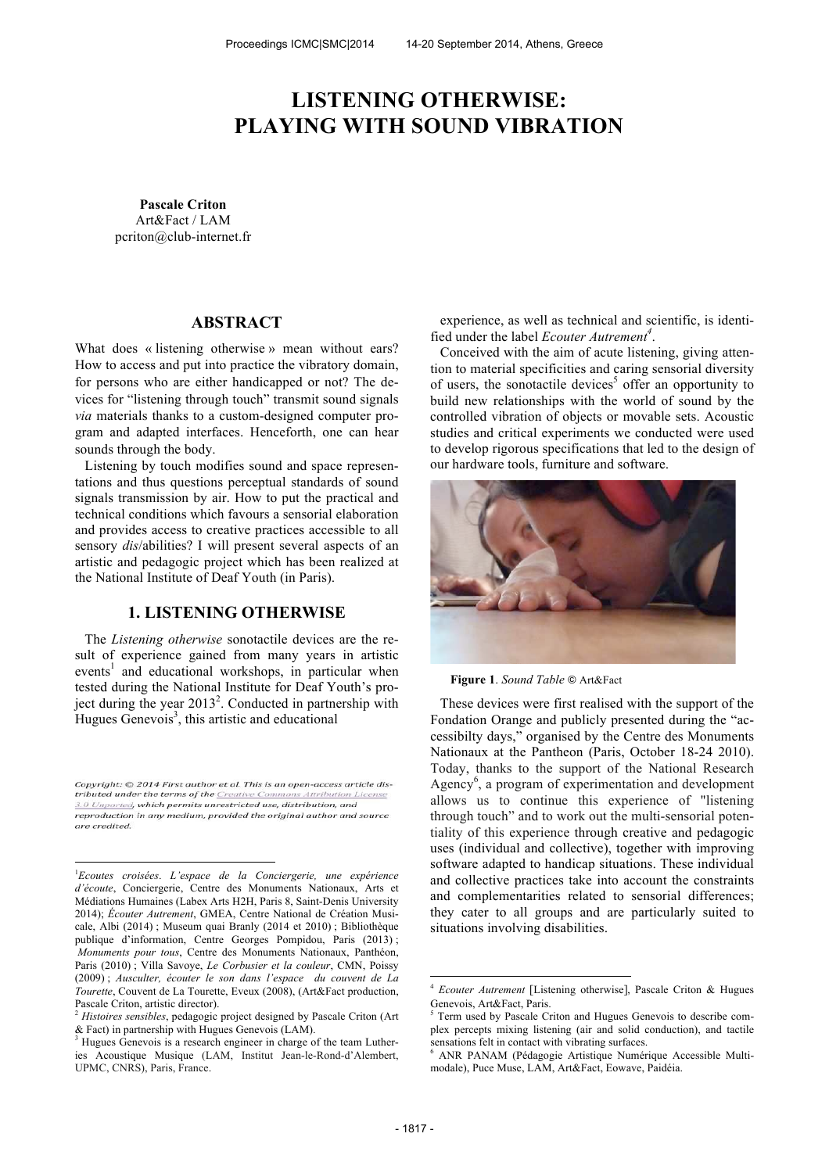# **LISTENING OTHERWISE: PLAYING WITH SOUND VIBRATION**

**Pascale Criton** Art&Fact / LAM pcriton@club-internet.fr

### **ABSTRACT**

What does « listening otherwise » mean without ears? How to access and put into practice the vibratory domain, for persons who are either handicapped or not? The devices for "listening through touch" transmit sound signals *via* materials thanks to a custom-designed computer program and adapted interfaces. Henceforth, one can hear sounds through the body.

Listening by touch modifies sound and space representations and thus questions perceptual standards of sound signals transmission by air. How to put the practical and technical conditions which favours a sensorial elaboration and provides access to creative practices accessible to all sensory *dis*/abilities? I will present several aspects of an artistic and pedagogic project which has been realized at the National Institute of Deaf Youth (in Paris).

### **1. LISTENING OTHERWISE**

The *Listening otherwise* sonotactile devices are the result of experience gained from many years in artistic events<sup>1</sup> and educational workshops, in particular when tested during the National Institute for Deaf Youth's project during the year  $2013^2$ . Conducted in partnership with Hugues Genevois<sup>3</sup>, this artistic and educational

Copyright: © 2014 First author et al. This is an open-access article distributed under the terms of the Creative Commons Attribution License 3.0 Unported, which permits unrestricted use, distribution, and reproduction in any medium, provided the original author and source are credited.

 $\overline{a}$ 

experience, as well as technical and scientific, is identified under the label *Ecouter Autrement<sup>4</sup>* .

Conceived with the aim of acute listening, giving attention to material specificities and caring sensorial diversity of users, the sonotactile devices<sup>5</sup> offer an opportunity to build new relationships with the world of sound by the controlled vibration of objects or movable sets. Acoustic studies and critical experiments we conducted were used to develop rigorous specifications that led to the design of our hardware tools, furniture and software.



**Figure 1**. *Sound Table* ! Art&Fact

These devices were first realised with the support of the Fondation Orange and publicly presented during the "accessibilty days," organised by the Centre des Monuments Nationaux at the Pantheon (Paris, October 18-24 2010). Today, thanks to the support of the National Research Agency<sup>6</sup>, a program of experimentation and development allows us to continue this experience of "listening through touch" and to work out the multi-sensorial potentiality of this experience through creative and pedagogic uses (individual and collective), together with improving software adapted to handicap situations. These individual and collective practices take into account the constraints and complementarities related to sensorial differences; they cater to all groups and are particularly suited to situations involving disabilities.

j

<sup>1</sup>*Ecoutes croisées*. *L'espace de la Conciergerie, une expérience d'écoute*, Conciergerie, Centre des Monuments Nationaux, Arts et Médiations Humaines (Labex Arts H2H, Paris 8, Saint-Denis University 2014); *Écouter Autrement*, GMEA, Centre National de Création Musicale, Albi (2014) ; Museum quai Branly (2014 et 2010) ; Bibliothèque publique d'information, Centre Georges Pompidou, Paris (2013) ; *Monuments pour tous*, Centre des Monuments Nationaux, Panthéon, Paris (2010) ; Villa Savoye, *Le Corbusier et la couleur*, CMN, Poissy (2009) ; *Ausculter, écouter le son dans l'espace du couvent de La Tourette*, Couvent de La Tourette, Eveux (2008), (Art&Fact production, Pascale Criton, artistic director).

<sup>2</sup> *Histoires sensibles*, pedagogic project designed by Pascale Criton (Art & Fact) in partnership with Hugues Genevois (LAM).

<sup>&</sup>lt;sup>3</sup> Hugues Genevois is a research engineer in charge of the team Lutheries Acoustique Musique (LAM, Institut Jean-le-Rond-d'Alembert, UPMC, CNRS), Paris, France.

<sup>4</sup> *Ecouter Autrement* [Listening otherwise], Pascale Criton & Hugues Genevois, Art&Fact, Paris.

<sup>5</sup> Term used by Pascale Criton and Hugues Genevois to describe complex percepts mixing listening (air and solid conduction), and tactile sensations felt in contact with vibrating surfaces.

<sup>6</sup> ANR PANAM (Pédagogie Artistique Numérique Accessible Multimodale), Puce Muse, LAM, Art&Fact, Eowave, Paidéia.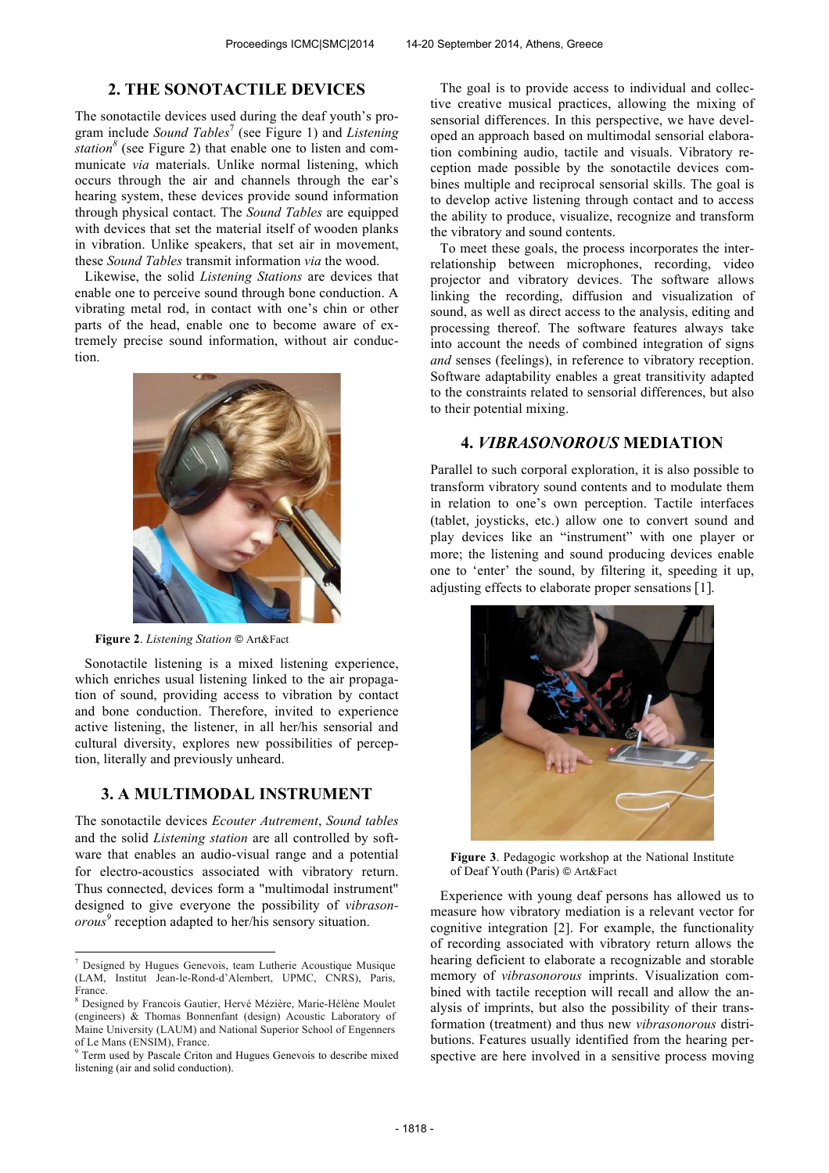### **2. THE SONOTACTILE DEVICES**

The sonotactile devices used during the deaf youth's program include *Sound Tables*<sup>7</sup> (see Figure 1) and *Listening station<sup>8</sup>* (see Figure 2) that enable one to listen and communicate *via* materials. Unlike normal listening, which occurs through the air and channels through the ear's hearing system, these devices provide sound information through physical contact. The *Sound Tables* are equipped with devices that set the material itself of wooden planks in vibration. Unlike speakers, that set air in movement, these *Sound Tables* transmit information *via* the wood.

Likewise, the solid *Listening Stations* are devices that enable one to perceive sound through bone conduction. A vibrating metal rod, in contact with one's chin or other parts of the head, enable one to become aware of extremely precise sound information, without air conduction.



**Figure 2**. *Listening Station* ! Art&Fact

Sonotactile listening is a mixed listening experience, which enriches usual listening linked to the air propagation of sound, providing access to vibration by contact and bone conduction. Therefore, invited to experience active listening, the listener, in all her/his sensorial and cultural diversity, explores new possibilities of perception, literally and previously unheard.

### **3. A MULTIMODAL INSTRUMENT**

The sonotactile devices *Ecouter Autrement*, *Sound tables* and the solid *Listening station* are all controlled by software that enables an audio-visual range and a potential for electro-acoustics associated with vibratory return. Thus connected, devices form a "multimodal instrument" designed to give everyone the possibility of *vibrasonorous 9* reception adapted to her/his sensory situation.

 $\overline{a}$ 

The goal is to provide access to individual and collective creative musical practices, allowing the mixing of sensorial differences. In this perspective, we have developed an approach based on multimodal sensorial elaboration combining audio, tactile and visuals. Vibratory reception made possible by the sonotactile devices combines multiple and reciprocal sensorial skills. The goal is to develop active listening through contact and to access the ability to produce, visualize, recognize and transform the vibratory and sound contents.

To meet these goals, the process incorporates the interrelationship between microphones, recording, video projector and vibratory devices. The software allows linking the recording, diffusion and visualization of sound, as well as direct access to the analysis, editing and processing thereof. The software features always take into account the needs of combined integration of signs *and* senses (feelings), in reference to vibratory reception. Software adaptability enables a great transitivity adapted to the constraints related to sensorial differences, but also to their potential mixing.

### **4.** *VIBRASONOROUS* **MEDIATION**

Parallel to such corporal exploration, it is also possible to transform vibratory sound contents and to modulate them in relation to one's own perception. Tactile interfaces (tablet, joysticks, etc.) allow one to convert sound and play devices like an "instrument" with one player or more; the listening and sound producing devices enable one to 'enter' the sound, by filtering it, speeding it up, adjusting effects to elaborate proper sensations [1].



**Figure 3**. Pedagogic workshop at the National Institute of Deaf Youth (Paris) @ Art&Fact

Experience with young deaf persons has allowed us to measure how vibratory mediation is a relevant vector for cognitive integration [2]. For example, the functionality of recording associated with vibratory return allows the hearing deficient to elaborate a recognizable and storable memory of *vibrasonorous* imprints. Visualization combined with tactile reception will recall and allow the analysis of imprints, but also the possibility of their transformation (treatment) and thus new *vibrasonorous* distributions. Features usually identified from the hearing perspective are here involved in a sensitive process moving

<sup>7</sup> Designed by Hugues Genevois, team Lutherie Acoustique Musique (LAM, Institut Jean-le-Rond-d'Alembert, UPMC, CNRS), Paris, France.

<sup>8</sup> Designed by Francois Gautier, Hervé Mézière, Marie-Hélène Moulet (engineers) & Thomas Bonnenfant (design) Acoustic Laboratory of Maine University (LAUM) and National Superior School of Engenners of Le Mans (ENSIM), France.

<sup>&</sup>lt;sup>9</sup> Term used by Pascale Criton and Hugues Genevois to describe mixed listening (air and solid conduction).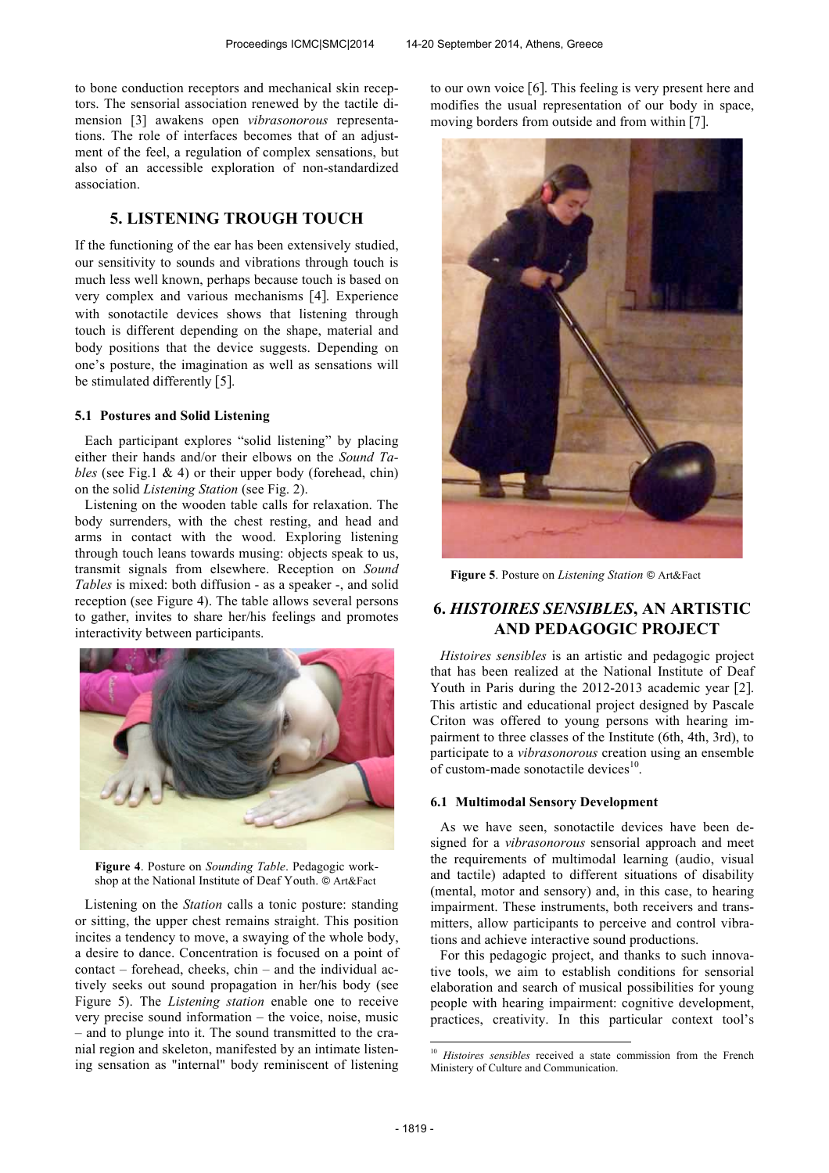to bone conduction receptors and mechanical skin receptors. The sensorial association renewed by the tactile dimension [3] awakens open *vibrasonorous* representations. The role of interfaces becomes that of an adjustment of the feel, a regulation of complex sensations, but also of an accessible exploration of non-standardized association.

## **5. LISTENING TROUGH TOUCH**

If the functioning of the ear has been extensively studied, our sensitivity to sounds and vibrations through touch is much less well known, perhaps because touch is based on very complex and various mechanisms [4]. Experience with sonotactile devices shows that listening through touch is different depending on the shape, material and body positions that the device suggests. Depending on one's posture, the imagination as well as sensations will be stimulated differently [5].

#### **5.1 Postures and Solid Listening**

Each participant explores "solid listening" by placing either their hands and/or their elbows on the *Sound Tables* (see Fig.1 & 4) or their upper body (forehead, chin) on the solid *Listening Station* (see Fig. 2).

Listening on the wooden table calls for relaxation. The body surrenders, with the chest resting, and head and arms in contact with the wood. Exploring listening through touch leans towards musing: objects speak to us, transmit signals from elsewhere. Reception on *Sound Tables* is mixed: both diffusion - as a speaker -, and solid reception (see Figure 4). The table allows several persons to gather, invites to share her/his feelings and promotes interactivity between participants.



**Figure 4**. Posture on *Sounding Table*. Pedagogic workshop at the National Institute of Deaf Youth. © Art&Fact

Listening on the *Station* calls a tonic posture: standing or sitting, the upper chest remains straight. This position incites a tendency to move, a swaying of the whole body, a desire to dance. Concentration is focused on a point of contact – forehead, cheeks, chin – and the individual actively seeks out sound propagation in her/his body (see Figure 5). The *Listening station* enable one to receive very precise sound information – the voice, noise, music – and to plunge into it. The sound transmitted to the cranial region and skeleton, manifested by an intimate listening sensation as "internal" body reminiscent of listening to our own voice [6]. This feeling is very present here and modifies the usual representation of our body in space, moving borders from outside and from within [7].



**Figure 5**. Posture on *Listening Station* ! Art&Fact

# **6.** *HISTOIRES SENSIBLES***, AN ARTISTIC AND PEDAGOGIC PROJECT**

*Histoires sensibles* is an artistic and pedagogic project that has been realized at the National Institute of Deaf Youth in Paris during the 2012-2013 academic year [2]. This artistic and educational project designed by Pascale Criton was offered to young persons with hearing impairment to three classes of the Institute (6th, 4th, 3rd), to participate to a *vibrasonorous* creation using an ensemble of custom-made sonotactile devices $10$ .

#### **6.1 Multimodal Sensory Development**

As we have seen, sonotactile devices have been designed for a *vibrasonorous* sensorial approach and meet the requirements of multimodal learning (audio, visual and tactile) adapted to different situations of disability (mental, motor and sensory) and, in this case, to hearing impairment. These instruments, both receivers and transmitters, allow participants to perceive and control vibrations and achieve interactive sound productions.

For this pedagogic project, and thanks to such innovative tools, we aim to establish conditions for sensorial elaboration and search of musical possibilities for young people with hearing impairment: cognitive development, practices, creativity. In this particular context tool's

j

<sup>10</sup> *Histoires sensibles* received a state commission from the French Ministery of Culture and Communication.